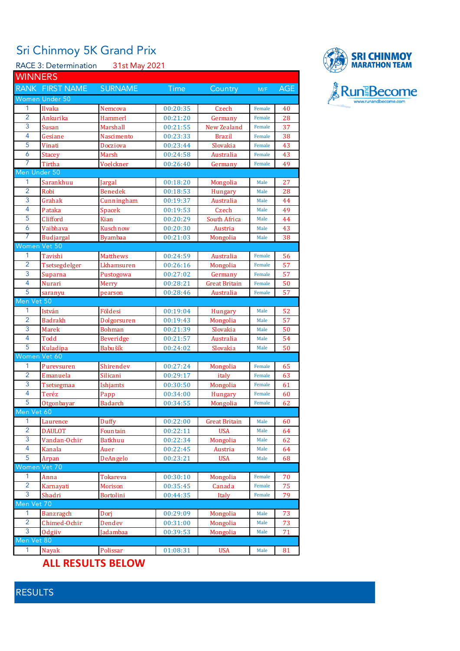## Sri Chinmoy 5K Grand Prix

RACE 3: Determination 31st May 2021

| <b>WINNERS</b> |                          |                  |                      |                       |        |            |
|----------------|--------------------------|------------------|----------------------|-----------------------|--------|------------|
|                | RANK FIRST NAME          | <b>SURNAME</b>   | <b>Time</b>          | Country               | M/F    | <b>AGE</b> |
|                | Women Under 50           |                  |                      |                       |        |            |
| 1              | Ilvaka                   | Nemcova          | 00:20:35             | Czech                 | Female | 40         |
| $\overline{2}$ | Ankurika                 | Hammerl          | 00:21:20             | Germany               | Female | 28         |
| 3              | Susan                    | Marshall         | 00:21:55             | <b>New Zealand</b>    | Female | 37         |
| 4              | Gesiane                  | Nascimento       | 00:23:33             | <b>Brazil</b>         | Female | 38         |
| 5              | Vinati                   | Docziova         | 00:23:44             | Slovakia              | Female | 43         |
| 6              | <b>Stacey</b>            | Marsh            | 00:24:58             | Australia             | Female | 43         |
| 7              | Tirtha                   | Voelckner        | 00:26:40             | Germany               | Female | 49         |
| Men Under 50   |                          |                  |                      |                       |        |            |
| 1              | Sarankhuu                | Jargal           | 00:18:20             | Mongolia              | Male   | 27         |
| $\overline{2}$ | Robi                     | <b>Benedek</b>   | 00:18:53             | <b>Hungary</b>        | Male   | 28         |
| 3              | Grahak                   | Cunningham       | 00:19:37             | Australia             | Male   | 44         |
| 4              | Pataka                   | Spacek           | 00:19:53             | Czech                 | Male   | 49         |
| 5              | Clifford                 | <b>Kian</b>      | 00:20:29             | South Africa          | Male   | 44         |
| $\overline{6}$ | Vaibhava                 | Kuschnow         | 00:20:30             | Austria               | Male   | 43         |
| 7              | <b>Budjargal</b>         | <b>Byambaa</b>   | 00:21:03             | Mongolia              | Male   | 38         |
| Women Vet 50   |                          |                  |                      |                       |        |            |
| 1              | Tavishi                  | <b>Matthews</b>  | 00:24:59             | Australia             | Female | 56         |
| $\overline{2}$ | Tsetsegdelger            | Lkhamsuren       | 00:26:16             | Mongolia              | Female | 57         |
| 3              | Suparna                  | Pustogowa        | 00:27:02             | Germany               | Female | 57         |
| $\overline{4}$ | Nurari                   | Merry            | 00:28:21             | Great Britain         | Female | 50         |
| 5              | saranyu                  | pearson          | 00:28:46             | <b>Australia</b>      | Female | 57         |
| Men Vet 50     |                          |                  |                      |                       |        |            |
| 1              | István                   | Földesi          | 00:19:04             |                       | Male   | 52         |
| $\overline{2}$ | <b>Badrakh</b>           |                  | 00:19:43             | <b>Hungary</b>        | Male   | 57         |
| 3              | <b>Marek</b>             | Dolgorsuren      |                      | Mongolia              | Male   | 50         |
| 4              | Todd                     | <b>Bohman</b>    | 00:21:39<br>00:21:57 | Slovakia<br>Australia |        | 54         |
| 5              |                          | <b>Beveridge</b> |                      |                       | Male   |            |
| Women Vet 60   | Kuladipa                 | Babušík          | 00:24:02             | Slovakia              | Male   | 50         |
| 1              |                          |                  |                      |                       |        |            |
| $\overline{2}$ | Purevsuren               | Shirendev        | 00:27:24             | Mongolia              | Female | 65         |
| 3              | Emanuela                 | Silicani         | 00:29:17             | italy                 | Female | 63         |
|                | Tsetsegmaa               | Ishjamts         | 00:30:50             | Mongolia              | Female | 61         |
| 4              | Teréz                    | Papp             | 00:34:00             | <b>Hungary</b>        | Female | 60         |
| 5              | Otgonbayar               | <b>Badarch</b>   | 00:34:55             | Mongolia              | Female | 62         |
| Men Vet 60     |                          |                  |                      |                       |        |            |
| $\mathbf{1}$   | Laurence                 | Duffy            | 00:22:00             | <b>Great Britain</b>  | Male   | 60         |
| $\overline{2}$ | <b>DAULOT</b>            | Fountain         | 00:22:11             | <b>USA</b>            | Male   | 64         |
| 3              | Vandan-Ochir             | <b>Batkhuu</b>   | 00:22:34             | Mongolia              | Male   | 62         |
| 4              | Kanala                   | Auer             | 00:22:45             | Austria               | Male   | 64         |
| 5              | Arpan                    | DeAngelo         | 00:23:21             | <b>USA</b>            | Male   | 68         |
| Women Vet 70   |                          |                  |                      |                       |        |            |
| 1              | Anna                     | Tokareva         | 00:30:10             | Mongolia              | Female | 70         |
| $\overline{2}$ | Karnayati                | <b>Morison</b>   | 00:35:45             | Canada                | Female | 75         |
| 3              | Shadri                   | <b>Bortolini</b> | 00:44:35             | Italy                 | Female | 79         |
| Men Vet 70     |                          |                  |                      |                       |        |            |
| 1              | <b>Banzragch</b>         | Dori             | 00:29:09             | Mongolia              | Male   | 73         |
| $\overline{2}$ | Chimed-Ochir             | Dendev           | 00:31:00             | Mongolia              | Male   | 73         |
| 3              | Odgiiv                   | Jadambaa         | 00:39:53             | Mongolia              | Male   | 71         |
| Men Vet 80     |                          |                  |                      |                       |        |            |
| 1              | Nayak                    | Polissar         | 01:08:31             | <b>USA</b>            | Male   | 81         |
|                | <b>ALL RESULTS BELOW</b> |                  |                      |                       |        |            |



RESULTS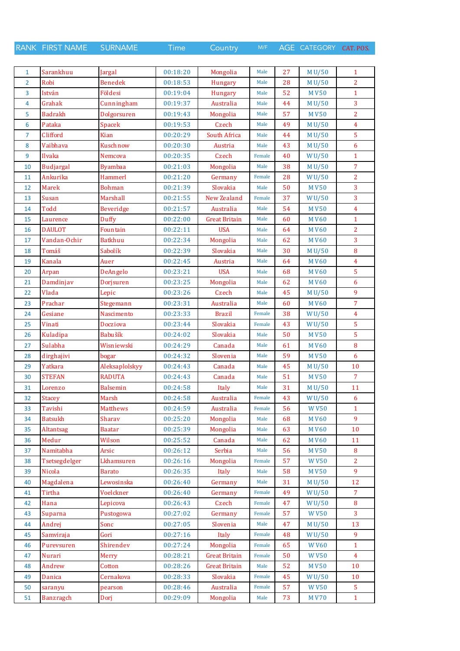RANK FIRST NAME SURNAME Time Country M/F AGE CATEGORY CAT. POS.

| $\mathbf{1}$ | Sarankhuu        | Jargal          | 00:18:20 | Mongolia             | Male   | 27 | M U/50       | $\mathbf{1}$   |
|--------------|------------------|-----------------|----------|----------------------|--------|----|--------------|----------------|
| 2            | Robi             | <b>Benedek</b>  | 00:18:53 | <b>Hungary</b>       | Male   | 28 | M U/50       | $\overline{2}$ |
| 3            | István           | Földesi         | 00:19:04 | Hungary              | Male   | 52 | <b>MV50</b>  | $\mathbf{1}$   |
| 4            | Grahak           | Cunningham      | 00:19:37 | Australia            | Male   | 44 | M U/50       | 3              |
| 5            | <b>Badrakh</b>   | Dolgorsuren     | 00:19:43 | Mongolia             | Male   | 57 | <b>MV50</b>  | $\overline{2}$ |
| 6            | Pataka           | <b>Spacek</b>   | 00:19:53 | Czech                | Male   | 49 | M U/50       | $\overline{4}$ |
| 7            | Clifford         | Kian            | 00:20:29 | South Africa         | Male   | 44 | M U/50       | $\overline{5}$ |
| 8            | Vaibhava         | Kuschnow        | 00:20:30 | Austria              | Male   | 43 | M U/50       | 6              |
| 9            | Ilvaka           | Nemcova         | 00:20:35 | Czech                | Female | 40 | WU/50        | $\mathbf{1}$   |
| 10           | <b>Budjargal</b> | <b>Byambaa</b>  | 00:21:03 | Mongolia             | Male   | 38 | M U/50       | 7              |
| 11           | Ankurika         | Hammerl         | 00:21:20 | Germany              | Female | 28 | WU/50        | $\overline{2}$ |
| 12           | <b>Marek</b>     | <b>Bohman</b>   | 00:21:39 | Slovakia             | Male   | 50 | <b>MV50</b>  | 3              |
| 13           | Susan            | Marshall        | 00:21:55 | New Zealand          | Female | 37 | WU/50        | 3              |
| 14           | Todd             | Beveridge       | 00:21:57 | Australia            | Male   | 54 | <b>MV50</b>  | $\overline{4}$ |
| 15           | Laurence         | Duffy           | 00:22:00 | <b>Great Britain</b> | Male   | 60 | <b>MV60</b>  | $\mathbf{1}$   |
| 16           | <b>DAULOT</b>    | Fountain        | 00:22:11 | <b>USA</b>           | Male   | 64 | <b>MV60</b>  | $\overline{2}$ |
| 17           | Vandan-Ochir     | <b>Batkhuu</b>  | 00:22:34 | Mongolia             | Male   | 62 | <b>MV60</b>  | 3              |
| 18           | Tomáš            | Sabolík         | 00:22:39 | Slovakia             | Male   | 30 | M U/50       | 8              |
| 19           | Kanala           | Auer            | 00:22:45 | Austria              | Male   | 64 | <b>MV60</b>  | $\overline{4}$ |
| 20           | Arpan            | DeAngelo        | 00:23:21 | <b>USA</b>           | Male   | 68 | <b>MV60</b>  | $\overline{5}$ |
| 21           | Damdinjav        | Dorjsuren       | 00:23:25 | Mongolia             | Male   | 62 | <b>MV60</b>  | 6              |
| 22           | Vlada            | Lepic           | 00:23:26 | Czech                | Male   | 45 | M U/50       | 9              |
| 23           | Prachar          | Stegemann       | 00:23:31 | Australia            | Male   | 60 | <b>MV60</b>  | $\overline{7}$ |
| 24           | Gesiane          | Nascimento      | 00:23:33 | <b>Brazil</b>        | Female | 38 | WU/50        | 4              |
| 25           | Vinati           | Docziova        | 00:23:44 | Slovakia             | Female | 43 | WU/50        | 5              |
| 26           | Kuladipa         | Babušík         | 00:24:02 | Slovakia             | Male   | 50 | <b>MV50</b>  | 5              |
| 27           | Sulabha          | Wisniewski      | 00:24:29 | Canada               | Male   | 61 | <b>MV60</b>  | 8              |
| 28           | dirghajivi       | bogar           | 00:24:32 | Slovenia             | Male   | 59 | <b>MV50</b>  | 6              |
| 29           | Yatkara          | Aleksaplolskyy  | 00:24:43 | Canada               | Male   | 45 | M U/50       | 10             |
| 30           | <b>STEFAN</b>    | <b>RADUTA</b>   | 00:24:43 | Canada               | Male   | 51 | <b>MV50</b>  | $\overline{7}$ |
| 31           | Lorenzo          | <b>Balsemin</b> | 00:24:58 | Italy                | Male   | 31 | M U/50       | 11             |
| 32           | <b>Stacey</b>    | Marsh           | 00:24:58 | Australia            | Female | 43 | WU/50        | 6              |
| 33           | Tavishi          | <b>Matthews</b> | 00:24:59 | Australia            | Female | 56 | <b>WV50</b>  | $\mathbf{1}$   |
| 34           | <b>Batsukh</b>   | Sharav          | 00:25:20 | Mongolia             | Male   | 68 | <b>MV60</b>  | 9              |
| 35           | Altantsag        | <b>Baatar</b>   | 00:25:39 | Mongolia             | Male   | 63 | <b>MV60</b>  | 10             |
| 36           | Medur            | Wilson          | 00:25:52 | Canada               | Male   | 62 | <b>MV60</b>  | 11             |
| 37           | Namitabha        | Arsic           | 00:26:12 | Serbia               | Male   | 56 | <b>MV50</b>  | 8              |
| 38           | Tsetsegdelger    | Lkhamsuren      | 00:26:16 | Mongolia             | Female | 57 | <b>WV50</b>  | $\overline{2}$ |
| 39           | Nicola           | <b>Barato</b>   | 00:26:35 | Italy                | Male   | 58 | <b>MV50</b>  | 9              |
| 40           | Magdalena        | Lewosinska      | 00:26:40 | Germany              | Male   | 31 | M U/50       | 12             |
| 41           | Tirtha           | Voelckner       | 00:26:40 | Germany              | Female | 49 | WU/50        | 7              |
| 42           | Hana             | Lepicova        | 00:26:43 | Czech                | Female | 47 | WU/50        | 8              |
| 43           | Suparna          | Pustogowa       | 00:27:02 | Germany              | Female | 57 | <b>WV50</b>  | $\overline{3}$ |
| 44           | Andrej           | Sonc            | 00:27:05 | Slovenia             | Male   | 47 | M U/50       | 13             |
| 45           | Samviraja        | Gori            | 00:27:16 | Italy                | Female | 48 | <b>WU/50</b> | 9              |
| 46           | Purevsuren       | Shirendev       | 00:27:24 | Mongolia             | Female | 65 | <b>WV60</b>  | $\mathbf{1}$   |
| 47           | Nurari           | <b>Merry</b>    | 00:28:21 | <b>Great Britain</b> | Female | 50 | <b>WV50</b>  | $\overline{4}$ |
| 48           | Andrew           | Cotton          | 00:28:26 | <b>Great Britain</b> | Male   | 52 | <b>MV50</b>  | 10             |
| 49           | Danica           | Cernakova       | 00:28:33 | Slovakia             | Female | 45 | WU/50        | 10             |
| 50           | saranyu          | pearson         | 00:28:46 | Australia            | Female | 57 | <b>WV50</b>  | 5              |
| 51           | <b>Banzragch</b> | Dorj            | 00:29:09 | Mongolia             | Male   | 73 | <b>MV70</b>  | $\mathbf{1}$   |
|              |                  |                 |          |                      |        |    |              |                |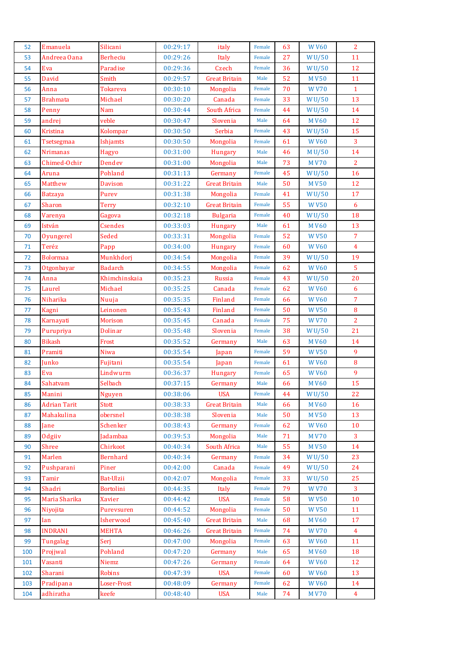| 52  | Emanuela            | Silicani        | 00:29:17 | italy                | Female | 63 | <b>WV60</b>        | $\overline{2}$ |
|-----|---------------------|-----------------|----------|----------------------|--------|----|--------------------|----------------|
| 53  | Andreea Oana        | Berheciu        | 00:29:26 | Italy                | Female | 27 | WU/50              | 11             |
| 54  | Eva                 | Paradise        | 00:29:36 | Czech                | Female | 36 | WU/50              | 12             |
| 55  | David               | Smith           | 00:29:57 | <b>Great Britain</b> | Male   | 52 | <b>MV50</b>        | 11             |
| 56  | Anna                | Tokareva        | 00:30:10 | Mongolia             | Female | 70 | <b>WV70</b>        | $\mathbf{1}$   |
| 57  | <b>Brahmata</b>     | Michael         | 00:30:20 | Canada               | Female | 33 | WU/50              | 13             |
| 58  | Penny               | <b>Nam</b>      | 00:30:44 | South Africa         | Female | 44 | WU/50              | 14             |
| 59  | andrej              | veble           | 00:30:47 | Slovenia             | Male   | 64 | <b>MV60</b>        | 12             |
| 60  | <b>Kristina</b>     | Kolompar        | 00:30:50 | Serbia               | Female | 43 | WU/50              | 15             |
| 61  | Tsetsegmaa          | Ishjamts        | 00:30:50 | Mongolia             | Female | 61 | <b>WV60</b>        | $\overline{3}$ |
| 62  | <b>Nrimanas</b>     | Hagyo           | 00:31:00 | <b>Hungary</b>       | Male   | 46 | M U/50             | 14             |
| 63  | Chimed-Ochir        | Dendev          | 00:31:00 | Mongolia             | Male   | 73 | <b>MV70</b>        | $\overline{2}$ |
| 64  | Aruna               | Pohland         | 00:31:13 | Germany              | Female | 45 | WU/50              | 16             |
| 65  | Matthew             | <b>Davison</b>  | 00:31:22 | <b>Great Britain</b> | Male   | 50 | <b>MV50</b>        | 12             |
| 66  | <b>Batzaya</b>      | Purev           | 00:31:38 | Mongolia             | Female | 41 | WU/50              | 17             |
| 67  | Sharon              | <b>Terry</b>    | 00:32:10 | <b>Great Britain</b> | Female | 55 | <b>WV50</b>        | 6              |
| 68  | Varenya             | Gagova          | 00:32:18 | <b>Bulgaria</b>      | Female | 40 | WU/50              | 18             |
| 69  | István              | <b>Csendes</b>  | 00:33:03 | Hungary              | Male   | 61 | <b>MV60</b>        | 13             |
| 70  | Oyungerel           | Seded           | 00:33:31 | Mongolia             | Female | 52 | <b>WV50</b>        | $\overline{7}$ |
| 71  | Teréz               | Papp            | 00:34:00 | Hungary              | Female | 60 | <b>WV60</b>        | $\overline{4}$ |
| 72  | <b>Bolormaa</b>     | Munkhdorj       | 00:34:54 | Mongolia             | Female | 39 | W <sub>U</sub> /50 | 19             |
| 73  | Otgonbayar          | <b>Badarch</b>  | 00:34:55 | Mongolia             | Female | 62 | <b>WV60</b>        | $\overline{5}$ |
| 74  | Anna                | Khimchinskaia   | 00:35:23 | Russia               | Female | 43 | W <sub>U</sub> /50 | 20             |
| 75  | Laurel              | Michael         | 00:35:25 | Canada               | Female | 62 | <b>WV60</b>        | 6              |
| 76  | Niharika            | Nuuja           | 00:35:35 | Finland              | Female | 66 | <b>WV60</b>        | $\overline{7}$ |
| 77  | Kagni               | Leinonen        | 00:35:43 | Finland              | Female | 50 | <b>WV50</b>        | $\bf 8$        |
| 78  | Karnayati           | <b>Morison</b>  | 00:35:45 | Canada               | Female | 75 | <b>WV70</b>        | $\overline{2}$ |
| 79  | Purupriya           | <b>Dolinar</b>  | 00:35:48 | Slovenia             | Female | 38 | WU/50              | 21             |
| 80  | <b>Bikash</b>       | Frost           | 00:35:52 | Germany              | Male   | 63 | <b>MV60</b>        | 14             |
| 81  | Pramiti             | Niwa            | 00:35:54 | Japan                | Female | 59 | <b>WV50</b>        | $\overline{9}$ |
| 82  | Junko               | Fujitani        | 00:35:54 | Japan                | Female | 61 | <b>WV60</b>        | 8              |
| 83  | Eva                 | Lindwurm        | 00:36:37 | Hungary              | Female | 65 | <b>WV60</b>        | 9              |
| 84  | Sahatvam            | Selbach         | 00:37:15 | Germany              | Male   | 66 | <b>MV60</b>        | 15             |
| 85  | Manini              | <b>Nguyen</b>   | 00:38:06 | <b>USA</b>           | Female | 44 | <b>WU/50</b>       | 22             |
| 86  | <b>Adrian Tarit</b> | Stott           | 00:38:33 | <b>Great Britain</b> | Male   | 66 | <b>MV60</b>        | 16             |
| 87  | Mahakulina          | obersnel        | 00:38:38 | Slovenia             | Male   | 50 | <b>MV50</b>        | 13             |
| 88  | Jane                | Schenker        | 00:38:43 | Germany              | Female | 62 | <b>WV60</b>        | 10             |
| 89  | Odgiiv              | Iadambaa        | 00:39:53 | Mongolia             | Male   | 71 | <b>MV70</b>        | 3              |
| 90  | Shree               | Chirkoot        | 00:40:34 | South Africa         | Male   | 55 | <b>MV50</b>        | 14             |
| 91  | Marlen              | <b>Bernhard</b> | 00:40:34 | Germany              | Female | 34 | <b>WU/50</b>       | 23             |
| 92  | Pushparani          | Piner           | 00:42:00 | Canada               | Female | 49 | WU/50              | 24             |
| 93  | Tamir               | Bat-Ulzii       | 00:42:07 | Mongolia             | Female | 33 | WU/50              | 25             |
| 94  | Shadri              | Bortolini       | 00:44:35 | Italy                | Female | 79 | <b>WV70</b>        | $\mathbf{3}$   |
| 95  | Maria Sharika       | Xavier          | 00:44:42 | <b>USA</b>           | Female | 58 | <b>WV50</b>        | 10             |
| 96  | Niyojita            | Purevsuren      | 00:44:52 | Mongolia             | Female | 50 | <b>WV50</b>        | 11             |
| 97  | Ian                 | Isherwood       | 00:45:40 | <b>Great Britain</b> | Male   | 68 | <b>MV60</b>        | 17             |
| 98  | <b>INDRANI</b>      | <b>MEHTA</b>    | 00:46:26 | <b>Great Britain</b> | Female | 74 | <b>WV70</b>        | $\overline{4}$ |
| 99  | Tungalag            | Serj            | 00:47:00 | Mongolia             | Female | 63 | <b>WV60</b>        | 11             |
| 100 | Projiwal            | Pohland         | 00:47:20 | Germany              | Male   | 65 | <b>MV60</b>        | 18             |
| 101 | Vasanti             | Niemz           | 00:47:26 | Germany              | Female | 64 | <b>WV60</b>        | 12             |
| 102 | Sharani             | Robins          | 00:47:39 | <b>USA</b>           | Female | 60 | <b>WV60</b>        | 13             |
| 103 | Pradipana           | Loser-Frost     | 00:48:09 | Germany              | Female | 62 | <b>WV60</b>        | 14             |
| 104 | adhiratha           | keefe           | 00:48:40 | <b>USA</b>           | Male   | 74 | <b>MV70</b>        | $\overline{4}$ |